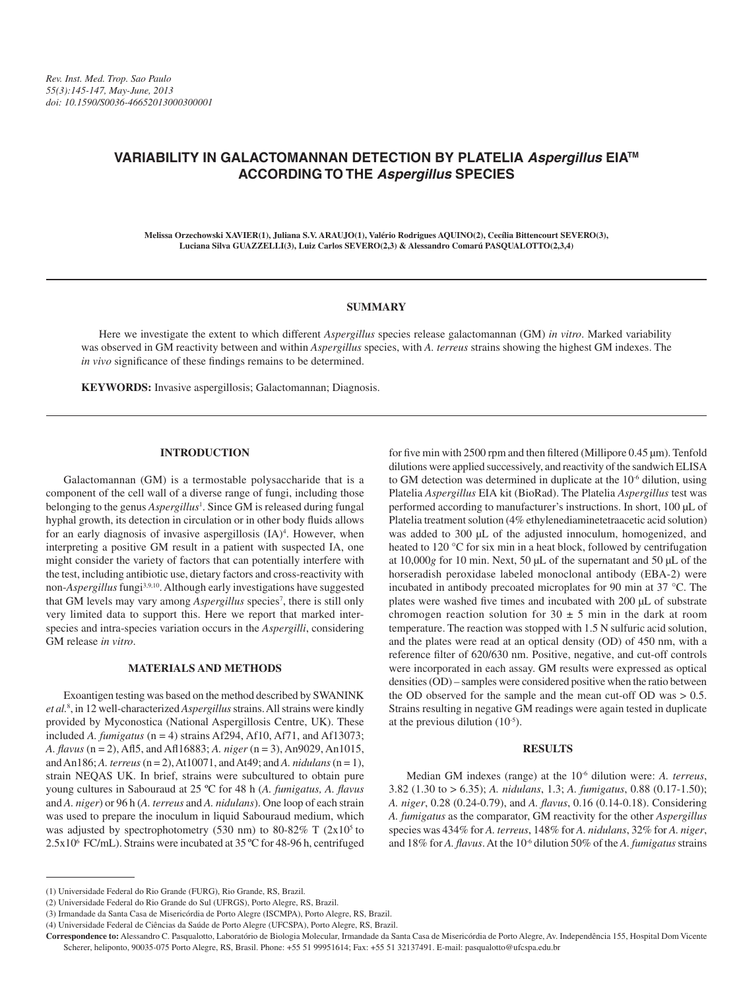# **VARIABILITY IN GALACTOMANNAN DETECTION BY PLATELIA** *Aspergillus* **EIATM ACCORDING TO THE** *Aspergillus* **SPECIES**

**Melissa Orzechowski XAVIER(1), Juliana S.V. ARAUJO(1), Valério Rodrigues AQUINO(2), Cecília Bittencourt SEVERO(3), Luciana Silva GUAZZELLI(3), Luiz Carlos SEVERO(2,3) & Alessandro Comarú PASQUALOTTO(2,3,4)**

# **SUMMARY**

Here we investigate the extent to which different *Aspergillus* species release galactomannan (GM) *in vitro*. Marked variability was observed in GM reactivity between and within *Aspergillus* species, with *A. terreus* strains showing the highest GM indexes. The *in vivo* significance of these findings remains to be determined.

**KEYWORDS:** Invasive aspergillosis; Galactomannan; Diagnosis.

# **INTRODUCTION**

Galactomannan (GM) is a termostable polysaccharide that is a component of the cell wall of a diverse range of fungi, including those belonging to the genus *Aspergillus*<sup>1</sup>. Since GM is released during fungal hyphal growth, its detection in circulation or in other body fluids allows for an early diagnosis of invasive aspergillosis (IA)<sup>4</sup>. However, when interpreting a positive GM result in a patient with suspected IA, one might consider the variety of factors that can potentially interfere with the test, including antibiotic use, dietary factors and cross-reactivity with non-*Aspergillus* fungi3,9,10. Although early investigations have suggested that GM levels may vary among *Aspergillus* species<sup>7</sup>, there is still only very limited data to support this. Here we report that marked interspecies and intra-species variation occurs in the *Aspergilli*, considering GM release *in vitro*.

#### **MATERIALS AND METHODS**

Exoantigen testing was based on the method described by SWANINK *et al.*<sup>8</sup> , in 12 well-characterized *Aspergillus* strains. All strains were kindly provided by Myconostica (National Aspergillosis Centre, UK). These included *A. fumigatus* (n = 4) strains Af294, Af10, Af71, and Af13073; *A. flavus* (n = 2), Afl5, and Afl16883; *A. niger* (n = 3), An9029, An1015, and An186; *A. terreus* (n = 2), At10071, and At49; and *A. nidulans* (n = 1), strain NEQAS UK. In brief, strains were subcultured to obtain pure young cultures in Sabouraud at 25 ºC for 48 h (*A. fumigatus, A. flavus* and *A. niger*) or 96 h (*A. terreus* and *A. nidulans*). One loop of each strain was used to prepare the inoculum in liquid Sabouraud medium, which was adjusted by spectrophotometry (530 nm) to 80-82% T  $(2x10<sup>5</sup>$  to 2.5x106 FC/mL). Strains were incubated at 35 ºC for 48-96 h, centrifuged

for five min with 2500 rpm and then filtered (Millipore  $0.45 \,\mathrm{\upmu m}$ ). Tenfold dilutions were applied successively, and reactivity of the sandwich ELISA to GM detection was determined in duplicate at the 10-6 dilution, using Platelia *Aspergillus* EIA kit (BioRad). The Platelia *Aspergillus* test was performed according to manufacturer's instructions. In short, 100 µL of Platelia treatment solution (4% ethylenediaminetetraacetic acid solution) was added to 300 µL of the adjusted innoculum, homogenized, and heated to 120 °C for six min in a heat block, followed by centrifugation at 10,000*g* for 10 min. Next, 50 µL of the supernatant and 50 µL of the horseradish peroxidase labeled monoclonal antibody (EBA-2) were incubated in antibody precoated microplates for 90 min at 37 °C. The plates were washed five times and incubated with 200 µL of substrate chromogen reaction solution for  $30 \pm 5$  min in the dark at room temperature. The reaction was stopped with 1.5 N sulfuric acid solution, and the plates were read at an optical density (OD) of 450 nm, with a reference filter of 620/630 nm. Positive, negative, and cut-off controls were incorporated in each assay. GM results were expressed as optical densities (OD) – samples were considered positive when the ratio between the OD observed for the sample and the mean cut-off OD was > 0.5. Strains resulting in negative GM readings were again tested in duplicate at the previous dilution (10-5).

# **RESULTS**

Median GM indexes (range) at the 10-6 dilution were: *A. terreus*, 3.82 (1.30 to > 6.35); *A. nidulans*, 1.3; *A. fumigatus*, 0.88 (0.17-1.50); *A. niger*, 0.28 (0.24-0.79), and *A. flavus*, 0.16 (0.14-0.18). Considering *A. fumigatus* as the comparator, GM reactivity for the other *Aspergillus* species was 434% for *A. terreus*, 148% for *A. nidulans*, 32% for *A. niger*, and 18% for *A. flavus*. At the 10<sup>-6</sup> dilution 50% of the *A. fumigatus* strains

<sup>(1)</sup> Universidade Federal do Rio Grande (FURG), Rio Grande, RS, Brazil.

<sup>(2)</sup> Universidade Federal do Rio Grande do Sul (UFRGS), Porto Alegre, RS, Brazil.

<sup>(3)</sup> Irmandade da Santa Casa de Misericórdia de Porto Alegre (ISCMPA), Porto Alegre, RS, Brazil.

<sup>(4)</sup> Universidade Federal de Ciências da Saúde de Porto Alegre (UFCSPA), Porto Alegre, RS, Brazil.

**Correspondence to:** Alessandro C. Pasqualotto, Laboratório de Biologia Molecular, Irmandade da Santa Casa de Misericórdia de Porto Alegre, Av. Independência 155, Hospital Dom Vicente Scherer, heliponto, 90035-075 Porto Alegre, RS, Brasil. Phone: +55 51 99951614; Fax: +55 51 32137491. E-mail: pasqualotto@ufcspa.edu.br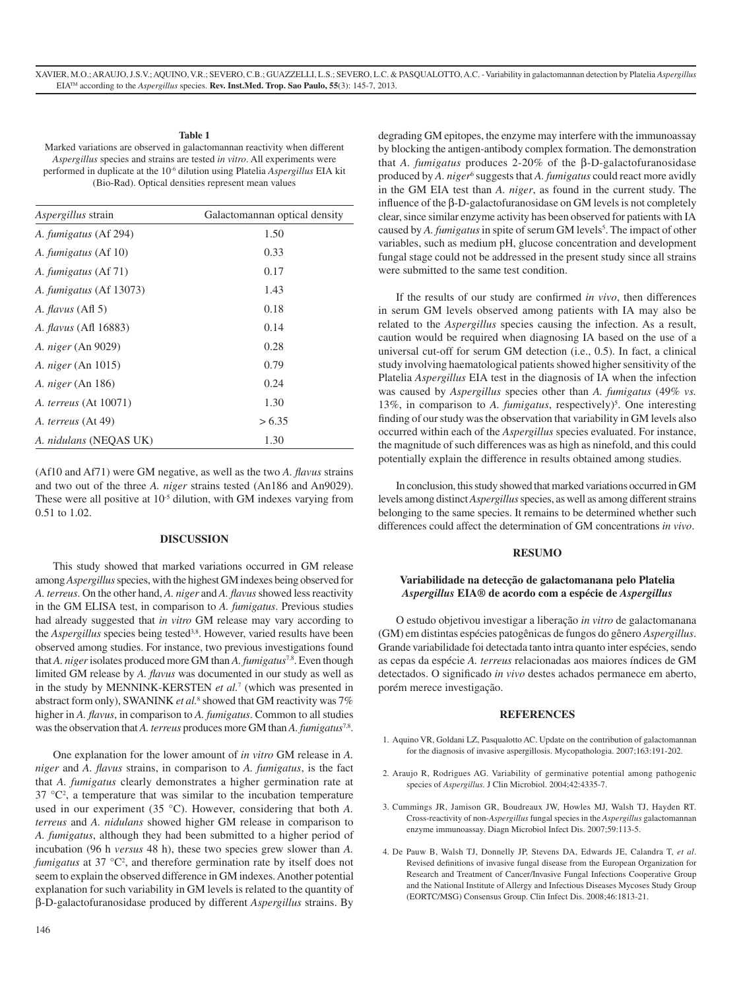# **Table 1**

Marked variations are observed in galactomannan reactivity when different *Aspergillus* species and strains are tested *in vitro*. All experiments were performed in duplicate at the 10-6 dilution using Platelia *Aspergillus* EIA kit (Bio-Rad). Optical densities represent mean values

| <i>Aspergillus</i> strain    | Galactomannan optical density |
|------------------------------|-------------------------------|
| A. fumigatus (Af 294)        | 1.50                          |
| A. <i>fumigatus</i> (Af 10)  | 0.33                          |
| A. <i>fumigatus</i> (Af 71)  | 0.17                          |
| A. fumigatus (Af 13073)      | 1.43                          |
| A. <i>flavus</i> (Afl 5)     | 0.18                          |
| <i>A. flavus</i> (Afl 16883) | 0.14                          |
| <i>A. niger</i> (An 9029)    | 0.28                          |
| A. niger (An 1015)           | 0.79                          |
| A. niger (An 186)            | 0.24                          |
| <i>A. terreus</i> (At 10071) | 1.30                          |
| A. terreus (At 49)           | > 6.35                        |
| A. nidulans (NEOAS UK)       | 1.30                          |

(Af10 and Af71) were GM negative, as well as the two *A. flavus* strains and two out of the three *A. niger* strains tested (An186 and An9029). These were all positive at 10<sup>-5</sup> dilution, with GM indexes varying from 0.51 to 1.02.

# **DISCUSSION**

This study showed that marked variations occurred in GM release among *Aspergillus* species, with the highest GM indexes being observed for *A. terreus*. On the other hand, *A. niger* and *A. flavus* showed less reactivity in the GM ELISA test, in comparison to *A. fumigatus*. Previous studies had already suggested that *in vitro* GM release may vary according to the *Aspergillus* species being tested<sup>3,8</sup>. However, varied results have been observed among studies. For instance, two previous investigations found that *A. niger* isolates produced more GM than *A. fumigatus*7,8. Even though limited GM release by *A. flavus* was documented in our study as well as in the study by MENNINK-KERSTEN *et al.*<sup>7</sup> (which was presented in abstract form only), SWANINK *et al.*<sup>8</sup> showed that GM reactivity was 7% higher in *A. flavus*, in comparison to *A. fumigatus*. Common to all studies was the observation that *A. terreus* produces more GM than *A. fumigatus*7,8.

One explanation for the lower amount of *in vitro* GM release in *A. niger* and *A. flavus* strains, in comparison to *A. fumigatus*, is the fact that *A. fumigatus* clearly demonstrates a higher germination rate at  $37 \text{ °C}^2$ , a temperature that was similar to the incubation temperature used in our experiment (35 °C). However, considering that both *A. terreus* and *A. nidulans* showed higher GM release in comparison to *A. fumigatus*, although they had been submitted to a higher period of incubation (96 h *versus* 48 h), these two species grew slower than *A.*  fumigatus at 37 °C<sup>2</sup>, and therefore germination rate by itself does not seem to explain the observed difference in GM indexes. Another potential explanation for such variability in GM levels is related to the quantity of β-D-galactofuranosidase produced by different *Aspergillus* strains. By

degrading GM epitopes, the enzyme may interfere with the immunoassay by blocking the antigen-antibody complex formation. The demonstration that *A. fumigatus* produces 2-20% of the β-D-galactofuranosidase produced by *A. niger<sup>6</sup>* suggests that *A. fumigatus* could react more avidly in the GM EIA test than *A. niger*, as found in the current study. The influence of the β-D-galactofuranosidase on GM levels is not completely clear, since similar enzyme activity has been observed for patients with IA caused by *A. fumigatus* in spite of serum GM levels<sup>5</sup>. The impact of other variables, such as medium pH, glucose concentration and development fungal stage could not be addressed in the present study since all strains were submitted to the same test condition.

If the results of our study are confirmed *in vivo*, then differences in serum GM levels observed among patients with IA may also be related to the *Aspergillus* species causing the infection. As a result, caution would be required when diagnosing IA based on the use of a universal cut-off for serum GM detection (i.e., 0.5). In fact, a clinical study involving haematological patients showed higher sensitivity of the Platelia *Aspergillus* EIA test in the diagnosis of IA when the infection was caused by *Aspergillus* species other than *A. fumigatus* (49% *vs.* 13%, in comparison to *A. fumigatus*, respectively)<sup>5</sup>. One interesting finding of our study was the observation that variability in GM levels also occurred within each of the *Aspergillus* species evaluated. For instance, the magnitude of such differences was as high as ninefold, and this could potentially explain the difference in results obtained among studies.

In conclusion, this study showed that marked variations occurred in GM levels among distinct *Aspergillus* species, as well as among different strains belonging to the same species. It remains to be determined whether such differences could affect the determination of GM concentrations *in vivo*.

# **RESUMO**

# **Variabilidade na detecção de galactomanana pelo Platelia**  *Aspergillus* **EIA® de acordo com a espécie de** *Aspergillus*

O estudo objetivou investigar a liberação *in vitro* de galactomanana (GM) em distintas espécies patogênicas de fungos do gênero *Aspergillus*. Grande variabilidade foi detectada tanto intra quanto inter espécies, sendo as cepas da espécie *A. terreus* relacionadas aos maiores índices de GM detectados. O significado *in vivo* destes achados permanece em aberto, porém merece investigação.

#### **REFERENCES**

- 1. Aquino VR, Goldani LZ, Pasqualotto AC. Update on the contribution of galactomannan for the diagnosis of invasive aspergillosis. Mycopathologia. 2007;163:191-202.
- 2. Araujo R, Rodrigues AG. Variability of germinative potential among pathogenic species of *Aspergillus.* J Clin Microbiol. 2004;42:4335-7.
- 3. Cummings JR, Jamison GR, Boudreaux JW, Howles MJ, Walsh TJ, Hayden RT. Cross-reactivity of non-*Aspergillus* fungal species in the *Aspergillus* galactomannan enzyme immunoassay. Diagn Microbiol Infect Dis. 2007;59:113-5.
- 4. De Pauw B, Walsh TJ, Donnelly JP, Stevens DA, Edwards JE, Calandra T, *et al*. Revised definitions of invasive fungal disease from the European Organization for Research and Treatment of Cancer/Invasive Fungal Infections Cooperative Group and the National Institute of Allergy and Infectious Diseases Mycoses Study Group (EORTC/MSG) Consensus Group. Clin Infect Dis. 2008;46:1813-21.